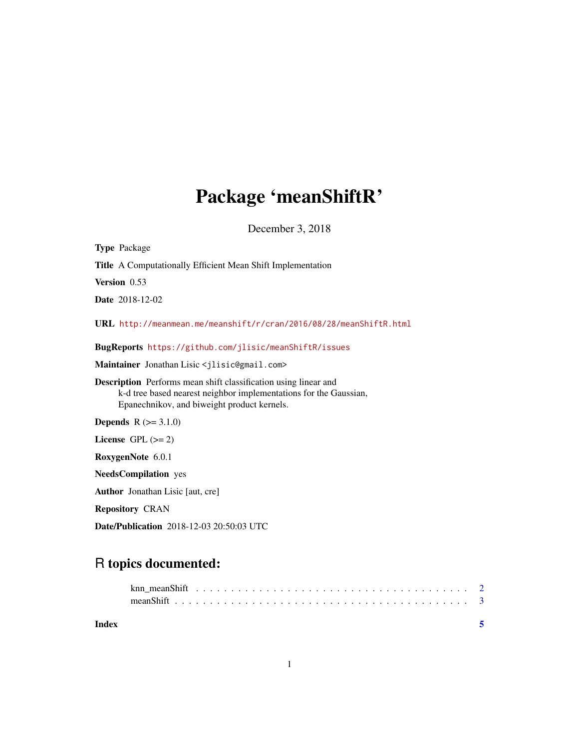## Package 'meanShiftR'

December 3, 2018

| <b>Type Package</b>                                                                                                                                                                        |
|--------------------------------------------------------------------------------------------------------------------------------------------------------------------------------------------|
| <b>Title</b> A Computationally Efficient Mean Shift Implementation                                                                                                                         |
| Version 0.53                                                                                                                                                                               |
| <b>Date</b> 2018-12-02                                                                                                                                                                     |
| URL http://meanmean.me/meanshift/r/cran/2016/08/28/meanShiftR.html                                                                                                                         |
| BugReports https://github.com/jlisic/meanShiftR/issues                                                                                                                                     |
| Maintainer Jonathan Lisic <jlisic@gmail.com></jlisic@gmail.com>                                                                                                                            |
| <b>Description</b> Performs mean shift classification using linear and<br>k-d tree based nearest neighbor implementations for the Gaussian,<br>Epanechnikov, and biweight product kernels. |
| <b>Depends</b> $R (= 3.1.0)$                                                                                                                                                               |
| License $GPL (= 2)$                                                                                                                                                                        |
| RoxygenNote 6.0.1                                                                                                                                                                          |
| <b>NeedsCompilation</b> yes                                                                                                                                                                |
| <b>Author</b> Jonathan Lisic [aut, cre]                                                                                                                                                    |
| <b>Repository CRAN</b>                                                                                                                                                                     |
|                                                                                                                                                                                            |

Date/Publication 2018-12-03 20:50:03 UTC

### R topics documented:

| Index |  |  |  |  |  |  |  |  |  |  |  |  |  |  |  |  |  |
|-------|--|--|--|--|--|--|--|--|--|--|--|--|--|--|--|--|--|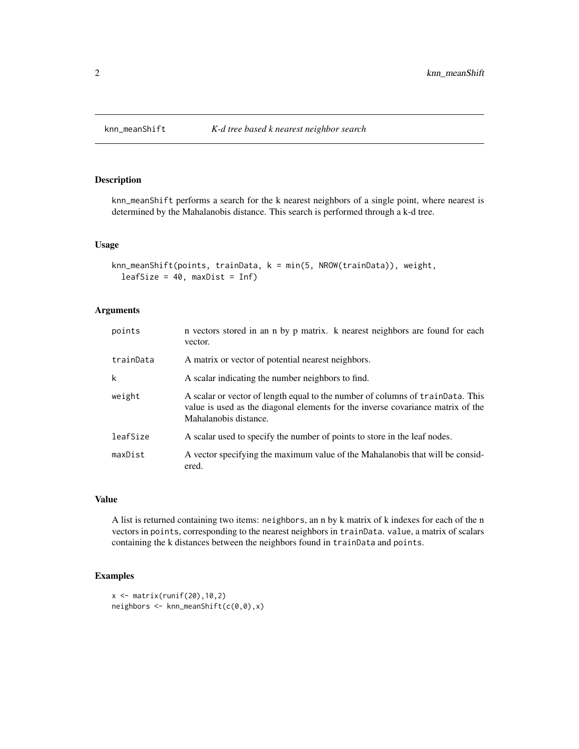#### Description

knn\_meanShift performs a search for the k nearest neighbors of a single point, where nearest is determined by the Mahalanobis distance. This search is performed through a k-d tree.

#### Usage

```
knn_meanShift(points, trainData, k = min(5, NROW(trainData)), weight,
  leafSize = 40, maxDist = Inf)
```
#### Arguments

| points    | n vectors stored in an n by p matrix. k nearest neighbors are found for each<br>vector.                                                                                                    |
|-----------|--------------------------------------------------------------------------------------------------------------------------------------------------------------------------------------------|
| trainData | A matrix or vector of potential nearest neighbors.                                                                                                                                         |
| k         | A scalar indicating the number neighbors to find.                                                                                                                                          |
| weight    | A scalar or vector of length equal to the number of columns of trainData. This<br>value is used as the diagonal elements for the inverse covariance matrix of the<br>Mahalanobis distance. |
| leafSize  | A scalar used to specify the number of points to store in the leaf nodes.                                                                                                                  |
| maxDist   | A vector specifying the maximum value of the Mahalanobis that will be consid-<br>ered.                                                                                                     |

#### Value

A list is returned containing two items: neighbors, an n by k matrix of k indexes for each of the n vectors in points, corresponding to the nearest neighbors in trainData. value, a matrix of scalars containing the k distances between the neighbors found in trainData and points.

#### Examples

```
x \leftarrow \text{matrix}(\text{runif}(20), 10, 2)neighbors \leq knn_meanShift(c(0,0),x)
```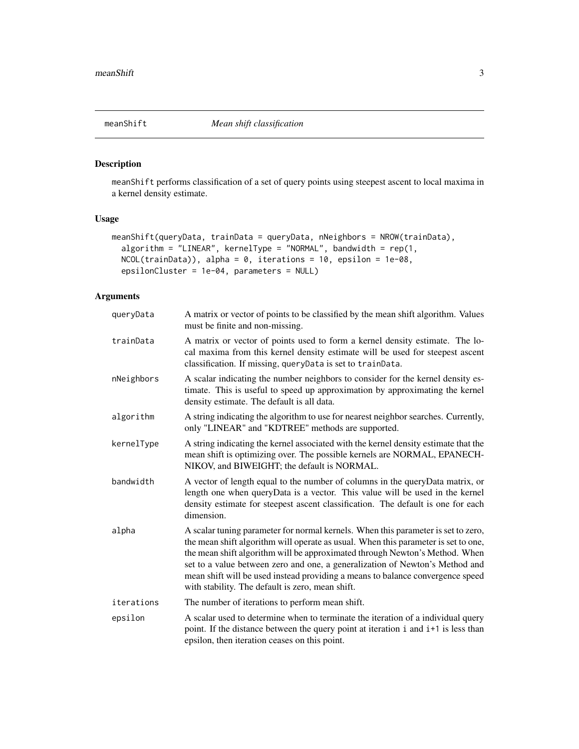<span id="page-2-0"></span>

#### Description

meanShift performs classification of a set of query points using steepest ascent to local maxima in a kernel density estimate.

#### Usage

```
meanShift(queryData, trainData = queryData, nNeighbors = NROW(trainData),
  algorithm = "LINEAR", kernelType = "NORMAL", bandwidth = rep(1,
 NCOL(trainData)), alpha = 0, iterations = 10, epsilon = 1e-08,
 epsilonCluster = 1e-04, parameters = NULL)
```
#### Arguments

| queryData  | A matrix or vector of points to be classified by the mean shift algorithm. Values<br>must be finite and non-missing.                                                                                                                                                                                                                                                                                                                                                         |
|------------|------------------------------------------------------------------------------------------------------------------------------------------------------------------------------------------------------------------------------------------------------------------------------------------------------------------------------------------------------------------------------------------------------------------------------------------------------------------------------|
| trainData  | A matrix or vector of points used to form a kernel density estimate. The lo-<br>cal maxima from this kernel density estimate will be used for steepest ascent<br>classification. If missing, queryData is set to trainData.                                                                                                                                                                                                                                                  |
| nNeighbors | A scalar indicating the number neighbors to consider for the kernel density es-<br>timate. This is useful to speed up approximation by approximating the kernel<br>density estimate. The default is all data.                                                                                                                                                                                                                                                                |
| algorithm  | A string indicating the algorithm to use for nearest neighbor searches. Currently,<br>only "LINEAR" and "KDTREE" methods are supported.                                                                                                                                                                                                                                                                                                                                      |
| kernelType | A string indicating the kernel associated with the kernel density estimate that the<br>mean shift is optimizing over. The possible kernels are NORMAL, EPANECH-<br>NIKOV, and BIWEIGHT; the default is NORMAL.                                                                                                                                                                                                                                                               |
| bandwidth  | A vector of length equal to the number of columns in the queryData matrix, or<br>length one when queryData is a vector. This value will be used in the kernel<br>density estimate for steepest ascent classification. The default is one for each<br>dimension.                                                                                                                                                                                                              |
| alpha      | A scalar tuning parameter for normal kernels. When this parameter is set to zero,<br>the mean shift algorithm will operate as usual. When this parameter is set to one,<br>the mean shift algorithm will be approximated through Newton's Method. When<br>set to a value between zero and one, a generalization of Newton's Method and<br>mean shift will be used instead providing a means to balance convergence speed<br>with stability. The default is zero, mean shift. |
| iterations | The number of iterations to perform mean shift.                                                                                                                                                                                                                                                                                                                                                                                                                              |
| epsilon    | A scalar used to determine when to terminate the iteration of a individual query<br>point. If the distance between the query point at iteration i and i+1 is less than<br>epsilon, then iteration ceases on this point.                                                                                                                                                                                                                                                      |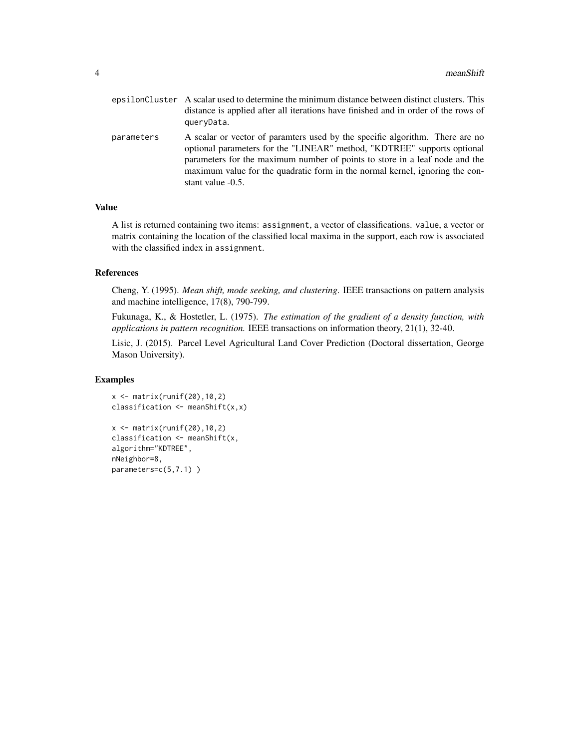|            | epsilonCluster A scalar used to determine the minimum distance between distinct clusters. This<br>distance is applied after all iterations have finished and in order of the rows of<br>queryData.                                                                                                                                          |
|------------|---------------------------------------------------------------------------------------------------------------------------------------------------------------------------------------------------------------------------------------------------------------------------------------------------------------------------------------------|
| parameters | A scalar or vector of paramters used by the specific algorithm. There are no<br>optional parameters for the "LINEAR" method, "KDTREE" supports optional<br>parameters for the maximum number of points to store in a leaf node and the<br>maximum value for the quadratic form in the normal kernel, ignoring the con-<br>stant value -0.5. |

#### Value

A list is returned containing two items: assignment, a vector of classifications. value, a vector or matrix containing the location of the classified local maxima in the support, each row is associated with the classified index in assignment.

#### References

Cheng, Y. (1995). *Mean shift, mode seeking, and clustering*. IEEE transactions on pattern analysis and machine intelligence, 17(8), 790-799.

Fukunaga, K., & Hostetler, L. (1975). *The estimation of the gradient of a density function, with applications in pattern recognition.* IEEE transactions on information theory, 21(1), 32-40.

Lisic, J. (2015). Parcel Level Agricultural Land Cover Prediction (Doctoral dissertation, George Mason University).

#### Examples

```
x \leftarrow \text{matrix(runif(20),10,2)}classification \leq meanShift(x,x)
```

```
x \leftarrow \text{matrix}(\text{runif}(20), 10, 2)classification <- meanShift(x,
algorithm="KDTREE",
nNeighbor=8,
parameters=c(5,7.1) )
```